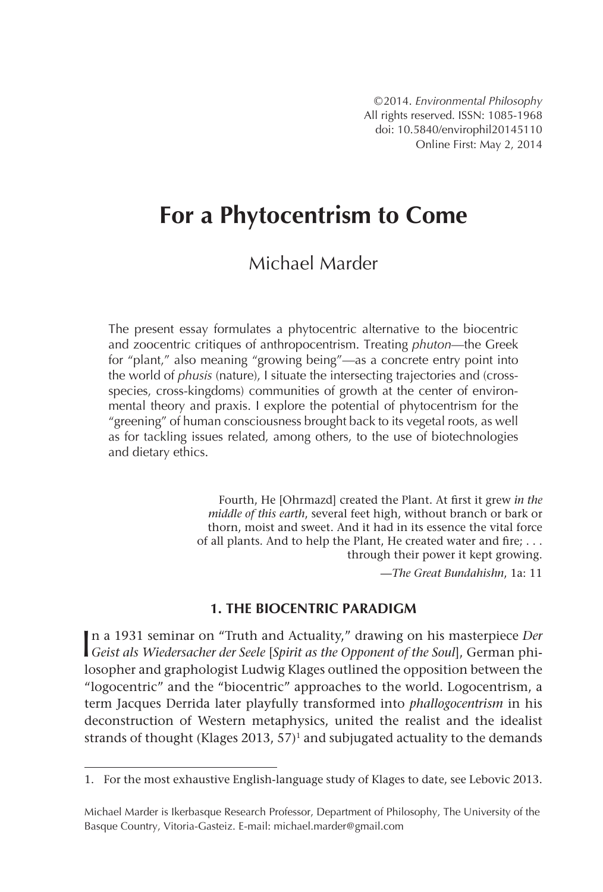# **For a Phytocentrism to Come**

# Michael Marder

The present essay formulates a phytocentric alternative to the biocentric and zoocentric critiques of anthropocentrism. Treating *phuton*—the Greek for "plant," also meaning "growing being"—as a concrete entry point into the world of *phusis* (nature), I situate the intersecting trajectories and (crossspecies, cross-kingdoms) communities of growth at the center of environmental theory and praxis. I explore the potential of phytocentrism for the "greening" of human consciousness brought back to its vegetal roots, as well as for tackling issues related, among others, to the use of biotechnologies and dietary ethics.

> Fourth, He [Ohrmazd] created the Plant. At first it grew *in the middle of this earth*, several feet high, without branch or bark or thorn, moist and sweet. And it had in its essence the vital force of all plants. And to help the Plant, He created water and fire; . . . through their power it kept growing. —*The Great Bundahishn*, 1a: 11

### **1. THE BIOCENTRIC PARADIGM**

I *Geist als Wiedersacher der Seele* [*Spirit as the Opponent of the Soul*], German phin a 1931 seminar on "Truth and Actuality," drawing on his masterpiece *Der*  losopher and graphologist Ludwig Klages outlined the opposition between the "logocentric" and the "biocentric" approaches to the world. Logocentrism, a term Jacques Derrida later playfully transformed into *phallogocentrism* in his deconstruction of Western metaphysics, united the realist and the idealist strands of thought (Klages  $2013$ ,  $57$ )<sup>1</sup> and subjugated actuality to the demands

<sup>1.</sup> For the most exhaustive English-language study of Klages to date, see Lebovic 2013.

Michael Marder is Ikerbasque Research Professor, Department of Philosophy, The University of the Basque Country, Vitoria-Gasteiz. E-mail: michael.marder@gmail.com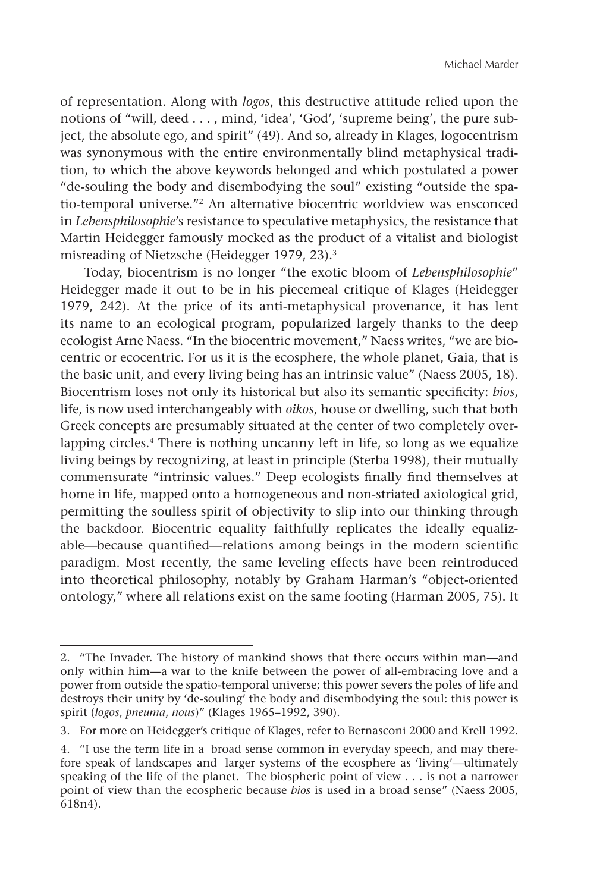of representation. Along with *logos*, this destructive attitude relied upon the notions of "will, deed . . . , mind, 'idea', 'God', 'supreme being', the pure subject, the absolute ego, and spirit" (49). And so, already in Klages, logocentrism was synonymous with the entire environmentally blind metaphysical tradition, to which the above keywords belonged and which postulated a power "de-souling the body and disembodying the soul" existing "outside the spatio-temporal universe."2 An alternative biocentric worldview was ensconced in *Lebensphilosophie*'s resistance to speculative metaphysics, the resistance that Martin Heidegger famously mocked as the product of a vitalist and biologist misreading of Nietzsche (Heidegger 1979, 23).3

Today, biocentrism is no longer "the exotic bloom of *Lebensphilosophie*" Heidegger made it out to be in his piecemeal critique of Klages (Heidegger 1979, 242). At the price of its anti-metaphysical provenance, it has lent its name to an ecological program, popularized largely thanks to the deep ecologist Arne Naess. "In the biocentric movement," Naess writes, "we are biocentric or ecocentric. For us it is the ecosphere, the whole planet, Gaia, that is the basic unit, and every living being has an intrinsic value" (Naess 2005, 18). Biocentrism loses not only its historical but also its semantic specificity: *bios*, life, is now used interchangeably with *oikos*, house or dwelling, such that both Greek concepts are presumably situated at the center of two completely overlapping circles.<sup>4</sup> There is nothing uncanny left in life, so long as we equalize living beings by recognizing, at least in principle (Sterba 1998), their mutually commensurate "intrinsic values." Deep ecologists finally find themselves at home in life, mapped onto a homogeneous and non-striated axiological grid, permitting the soulless spirit of objectivity to slip into our thinking through the backdoor. Biocentric equality faithfully replicates the ideally equalizable—because quantified—relations among beings in the modern scientific paradigm. Most recently, the same leveling effects have been reintroduced into theoretical philosophy, notably by Graham Harman's "object-oriented ontology," where all relations exist on the same footing (Harman 2005, 75). It

<sup>2.</sup> "The Invader. The history of mankind shows that there occurs within man—and only within him—a war to the knife between the power of all-embracing love and a power from outside the spatio-temporal universe; this power severs the poles of life and destroys their unity by 'de-souling' the body and disembodying the soul: this power is spirit (*logos*, *pneuma*, *nous*)" (Klages 1965–1992, 390).

<sup>3.</sup> For more on Heidegger's critique of Klages, refer to Bernasconi 2000 and Krell 1992.

<sup>4.</sup> "I use the term life in a broad sense common in everyday speech, and may therefore speak of landscapes and larger systems of the ecosphere as 'living'—ultimately speaking of the life of the planet. The biospheric point of view . . . is not a narrower point of view than the ecospheric because *bios* is used in a broad sense" (Naess 2005, 618n4).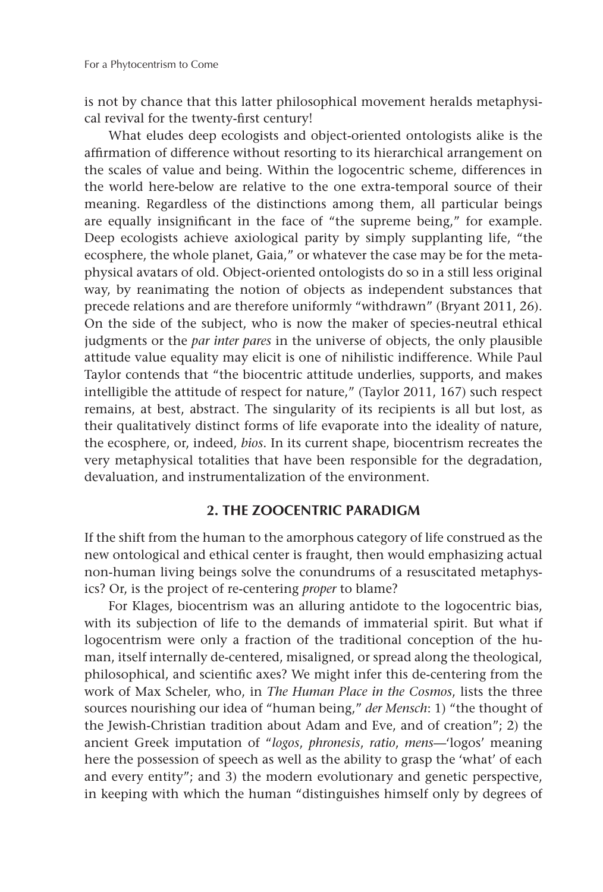is not by chance that this latter philosophical movement heralds metaphysical revival for the twenty-first century!

What eludes deep ecologists and object-oriented ontologists alike is the affirmation of difference without resorting to its hierarchical arrangement on the scales of value and being. Within the logocentric scheme, differences in the world here-below are relative to the one extra-temporal source of their meaning. Regardless of the distinctions among them, all particular beings are equally insignificant in the face of "the supreme being," for example. Deep ecologists achieve axiological parity by simply supplanting life, "the ecosphere, the whole planet, Gaia," or whatever the case may be for the metaphysical avatars of old. Object-oriented ontologists do so in a still less original way, by reanimating the notion of objects as independent substances that precede relations and are therefore uniformly "withdrawn" (Bryant 2011, 26). On the side of the subject, who is now the maker of species-neutral ethical judgments or the *par inter pares* in the universe of objects, the only plausible attitude value equality may elicit is one of nihilistic indifference. While Paul Taylor contends that "the biocentric attitude underlies, supports, and makes intelligible the attitude of respect for nature," (Taylor 2011, 167) such respect remains, at best, abstract. The singularity of its recipients is all but lost, as their qualitatively distinct forms of life evaporate into the ideality of nature, the ecosphere, or, indeed, *bios*. In its current shape, biocentrism recreates the very metaphysical totalities that have been responsible for the degradation, devaluation, and instrumentalization of the environment.

#### **2. THE ZOOCENTRIC PARADIGM**

If the shift from the human to the amorphous category of life construed as the new ontological and ethical center is fraught, then would emphasizing actual non-human living beings solve the conundrums of a resuscitated metaphysics? Or, is the project of re-centering *proper* to blame?

For Klages, biocentrism was an alluring antidote to the logocentric bias, with its subjection of life to the demands of immaterial spirit. But what if logocentrism were only a fraction of the traditional conception of the human, itself internally de-centered, misaligned, or spread along the theological, philosophical, and scientific axes? We might infer this de-centering from the work of Max Scheler, who, in *The Human Place in the Cosmos*, lists the three sources nourishing our idea of "human being," *der Mensch*: 1) "the thought of the Jewish-Christian tradition about Adam and Eve, and of creation"; 2) the ancient Greek imputation of "*logos*, *phronesis*, *ratio*, *mens*—'logos' meaning here the possession of speech as well as the ability to grasp the 'what' of each and every entity"; and 3) the modern evolutionary and genetic perspective, in keeping with which the human "distinguishes himself only by degrees of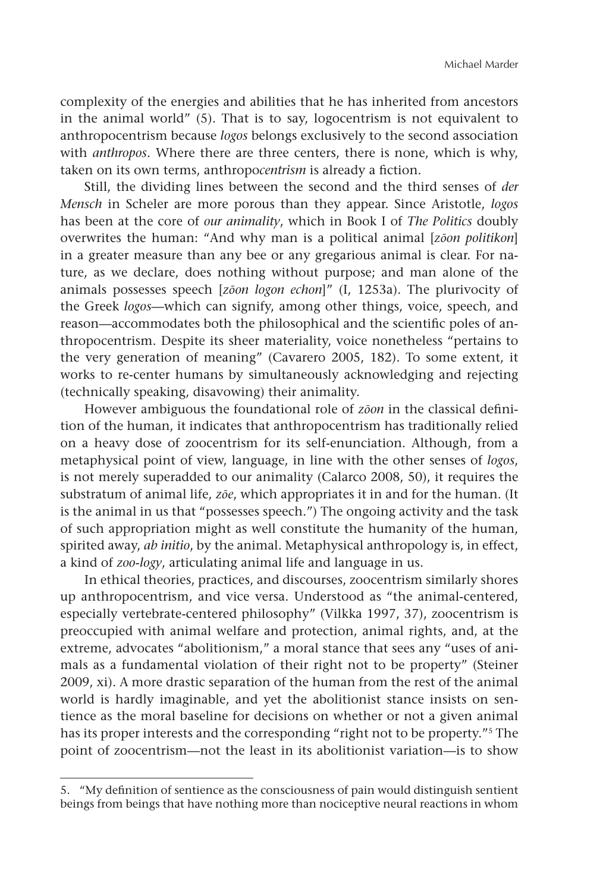complexity of the energies and abilities that he has inherited from ancestors in the animal world" (5). That is to say, logocentrism is not equivalent to anthropocentrism because *logos* belongs exclusively to the second association with *anthropos*. Where there are three centers, there is none, which is why, taken on its own terms, anthropo*centrism* is already a fiction.

Still, the dividing lines between the second and the third senses of *der Mensch* in Scheler are more porous than they appear. Since Aristotle, *logos*  has been at the core of *our animality*, which in Book I of *The Politics* doubly overwrites the human: "And why man is a political animal [*zōon politikon*] in a greater measure than any bee or any gregarious animal is clear. For nature, as we declare, does nothing without purpose; and man alone of the animals possesses speech [*zōon logon echon*]" (I, 1253a). The plurivocity of the Greek *logos*—which can signify, among other things, voice, speech, and reason—accommodates both the philosophical and the scientific poles of anthropocentrism. Despite its sheer materiality, voice nonetheless "pertains to the very generation of meaning" (Cavarero 2005, 182). To some extent, it works to re-center humans by simultaneously acknowledging and rejecting (technically speaking, disavowing) their animality.

However ambiguous the foundational role of *zōon* in the classical definition of the human, it indicates that anthropocentrism has traditionally relied on a heavy dose of zoocentrism for its self-enunciation. Although, from a metaphysical point of view, language, in line with the other senses of *logos*, is not merely superadded to our animality (Calarco 2008, 50), it requires the substratum of animal life, *zōe*, which appropriates it in and for the human. (It is the animal in us that "possesses speech.") The ongoing activity and the task of such appropriation might as well constitute the humanity of the human, spirited away, *ab initio*, by the animal. Metaphysical anthropology is, in effect, a kind of *zoo-logy*, articulating animal life and language in us.

In ethical theories, practices, and discourses, zoocentrism similarly shores up anthropocentrism, and vice versa. Understood as "the animal-centered, especially vertebrate-centered philosophy" (Vilkka 1997, 37), zoocentrism is preoccupied with animal welfare and protection, animal rights, and, at the extreme, advocates "abolitionism," a moral stance that sees any "uses of animals as a fundamental violation of their right not to be property" (Steiner 2009, xi). A more drastic separation of the human from the rest of the animal world is hardly imaginable, and yet the abolitionist stance insists on sentience as the moral baseline for decisions on whether or not a given animal has its proper interests and the corresponding "right not to be property."<sup>5</sup> The point of zoocentrism—not the least in its abolitionist variation—is to show

<sup>5.</sup> "My definition of sentience as the consciousness of pain would distinguish sentient beings from beings that have nothing more than nociceptive neural reactions in whom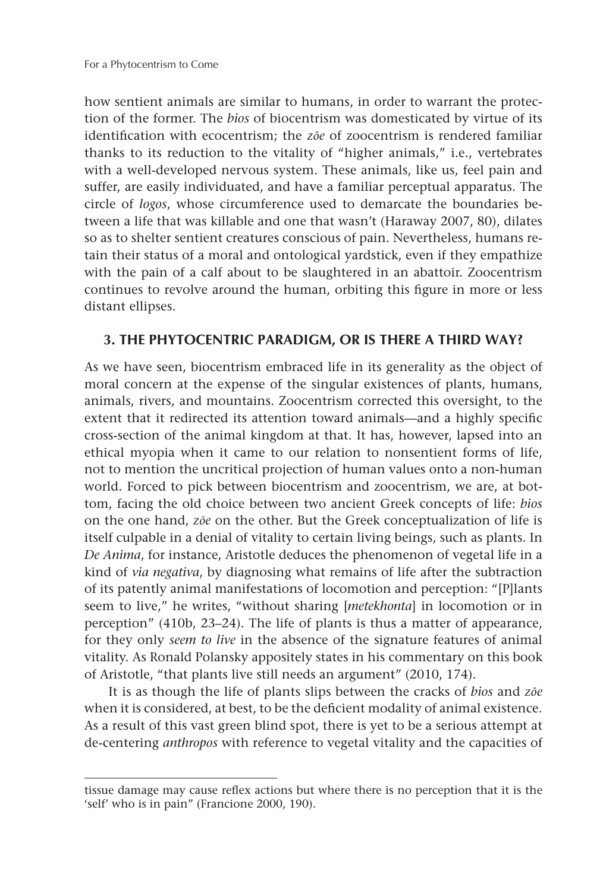how sentient animals are similar to humans, in order to warrant the protection of the former. The *bios* of biocentrism was domesticated by virtue of its identification with ecocentrism; the *zōe* of zoocentrism is rendered familiar thanks to its reduction to the vitality of "higher animals," i.e., vertebrates with a well-developed nervous system. These animals, like us, feel pain and suffer, are easily individuated, and have a familiar perceptual apparatus. The circle of *logos*, whose circumference used to demarcate the boundaries between a life that was killable and one that wasn't (Haraway 2007, 80), dilates so as to shelter sentient creatures conscious of pain. Nevertheless, humans retain their status of a moral and ontological yardstick, even if they empathize with the pain of a calf about to be slaughtered in an abattoir. Zoocentrism continues to revolve around the human, orbiting this figure in more or less distant ellipses.

#### **3. THE PHYTOCENTRIC PARADIGM, OR IS THERE A THIRD WAY?**

As we have seen, biocentrism embraced life in its generality as the object of moral concern at the expense of the singular existences of plants, humans, animals, rivers, and mountains. Zoocentrism corrected this oversight, to the extent that it redirected its attention toward animals—and a highly specific cross-section of the animal kingdom at that. It has, however, lapsed into an ethical myopia when it came to our relation to nonsentient forms of life, not to mention the uncritical projection of human values onto a non-human world. Forced to pick between biocentrism and zoocentrism, we are, at bottom, facing the old choice between two ancient Greek concepts of life: *bios* on the one hand, *zōe* on the other. But the Greek conceptualization of life is itself culpable in a denial of vitality to certain living beings, such as plants. In *De Anima*, for instance, Aristotle deduces the phenomenon of vegetal life in a kind of *via negativa*, by diagnosing what remains of life after the subtraction of its patently animal manifestations of locomotion and perception: "[P]lants seem to live," he writes, "without sharing [*metekhonta*] in locomotion or in perception" (410b, 23–24). The life of plants is thus a matter of appearance, for they only *seem to live* in the absence of the signature features of animal vitality. As Ronald Polansky appositely states in his commentary on this book of Aristotle, "that plants live still needs an argument" (2010, 174).

It is as though the life of plants slips between the cracks of *bios* and *zōe* when it is considered, at best, to be the deficient modality of animal existence. As a result of this vast green blind spot, there is yet to be a serious attempt at de-centering *anthropos* with reference to vegetal vitality and the capacities of

tissue damage may cause reflex actions but where there is no perception that it is the 'self' who is in pain" (Francione 2000, 190).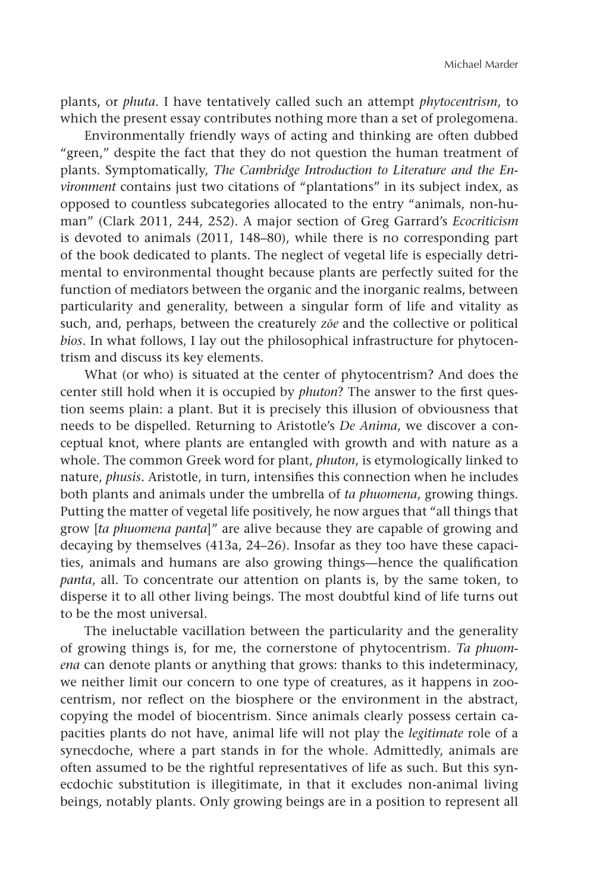plants, or *phuta*. I have tentatively called such an attempt *phytocentrism*, to which the present essay contributes nothing more than a set of prolegomena.

Environmentally friendly ways of acting and thinking are often dubbed "green," despite the fact that they do not question the human treatment of plants. Symptomatically, *The Cambridge Introduction to Literature and the Environment* contains just two citations of "plantations" in its subject index, as opposed to countless subcategories allocated to the entry "animals, non-human" (Clark 2011, 244, 252). A major section of Greg Garrard's *Ecocriticism*  is devoted to animals (2011, 148–80), while there is no corresponding part of the book dedicated to plants. The neglect of vegetal life is especially detrimental to environmental thought because plants are perfectly suited for the function of mediators between the organic and the inorganic realms, between particularity and generality, between a singular form of life and vitality as such, and, perhaps, between the creaturely *zōe* and the collective or political *bios*. In what follows, I lay out the philosophical infrastructure for phytocentrism and discuss its key elements.

What (or who) is situated at the center of phytocentrism? And does the center still hold when it is occupied by *phuton*? The answer to the first question seems plain: a plant. But it is precisely this illusion of obviousness that needs to be dispelled. Returning to Aristotle's *De Anima*, we discover a conceptual knot, where plants are entangled with growth and with nature as a whole. The common Greek word for plant, *phuton*, is etymologically linked to nature, *phusis*. Aristotle, in turn, intensifies this connection when he includes both plants and animals under the umbrella of *ta phuomena*, growing things. Putting the matter of vegetal life positively, he now argues that "all things that grow [*ta phuomena panta*]" are alive because they are capable of growing and decaying by themselves (413a, 24–26). Insofar as they too have these capacities, animals and humans are also growing things—hence the qualification *panta*, all. To concentrate our attention on plants is, by the same token, to disperse it to all other living beings. The most doubtful kind of life turns out to be the most universal.

The ineluctable vacillation between the particularity and the generality of growing things is, for me, the cornerstone of phytocentrism. *Ta phuomena* can denote plants or anything that grows: thanks to this indeterminacy, we neither limit our concern to one type of creatures, as it happens in zoocentrism, nor reflect on the biosphere or the environment in the abstract, copying the model of biocentrism. Since animals clearly possess certain capacities plants do not have, animal life will not play the *legitimate* role of a synecdoche, where a part stands in for the whole. Admittedly, animals are often assumed to be the rightful representatives of life as such. But this synecdochic substitution is illegitimate, in that it excludes non-animal living beings, notably plants. Only growing beings are in a position to represent all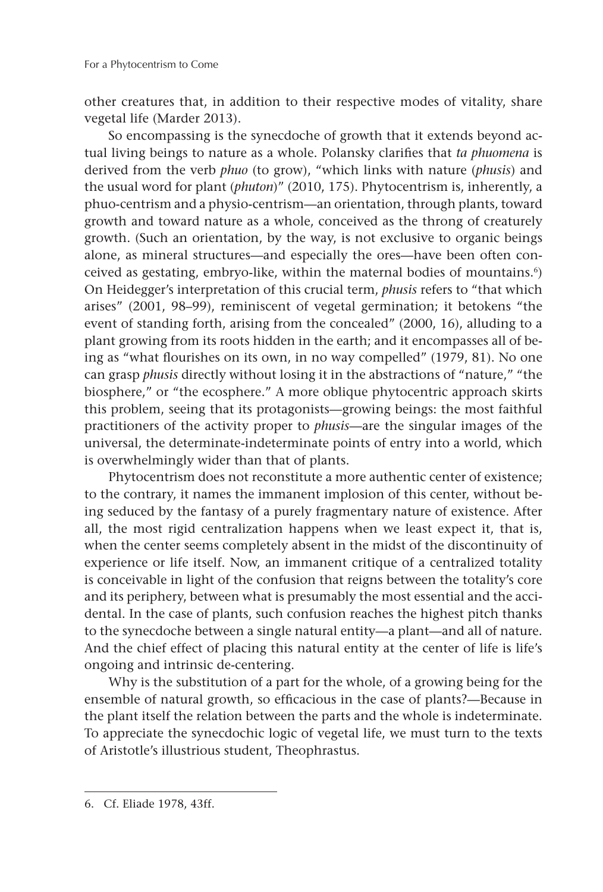other creatures that, in addition to their respective modes of vitality, share vegetal life (Marder 2013).

So encompassing is the synecdoche of growth that it extends beyond actual living beings to nature as a whole. Polansky clarifies that *ta phuomena* is derived from the verb *phuo* (to grow), "which links with nature (*phusis*) and the usual word for plant (*phuton*)" (2010, 175). Phytocentrism is, inherently, a phuo-centrism and a physio-centrism—an orientation, through plants, toward growth and toward nature as a whole, conceived as the throng of creaturely growth. (Such an orientation, by the way, is not exclusive to organic beings alone, as mineral structures—and especially the ores—have been often conceived as gestating, embryo-like, within the maternal bodies of mountains.<sup>6</sup>) On Heidegger's interpretation of this crucial term, *phusis* refers to "that which arises" (2001, 98–99), reminiscent of vegetal germination; it betokens "the event of standing forth, arising from the concealed" (2000, 16), alluding to a plant growing from its roots hidden in the earth; and it encompasses all of being as "what flourishes on its own, in no way compelled" (1979, 81). No one can grasp *phusis* directly without losing it in the abstractions of "nature," "the biosphere," or "the ecosphere." A more oblique phytocentric approach skirts this problem, seeing that its protagonists—growing beings: the most faithful practitioners of the activity proper to *phusis*—are the singular images of the universal, the determinate-indeterminate points of entry into a world, which is overwhelmingly wider than that of plants.

Phytocentrism does not reconstitute a more authentic center of existence; to the contrary, it names the immanent implosion of this center, without being seduced by the fantasy of a purely fragmentary nature of existence. After all, the most rigid centralization happens when we least expect it, that is, when the center seems completely absent in the midst of the discontinuity of experience or life itself. Now, an immanent critique of a centralized totality is conceivable in light of the confusion that reigns between the totality's core and its periphery, between what is presumably the most essential and the accidental. In the case of plants, such confusion reaches the highest pitch thanks to the synecdoche between a single natural entity—a plant—and all of nature. And the chief effect of placing this natural entity at the center of life is life's ongoing and intrinsic de-centering.

Why is the substitution of a part for the whole, of a growing being for the ensemble of natural growth, so efficacious in the case of plants?—Because in the plant itself the relation between the parts and the whole is indeterminate. To appreciate the synecdochic logic of vegetal life, we must turn to the texts of Aristotle's illustrious student, Theophrastus.

<sup>6.</sup> Cf. Eliade 1978, 43ff.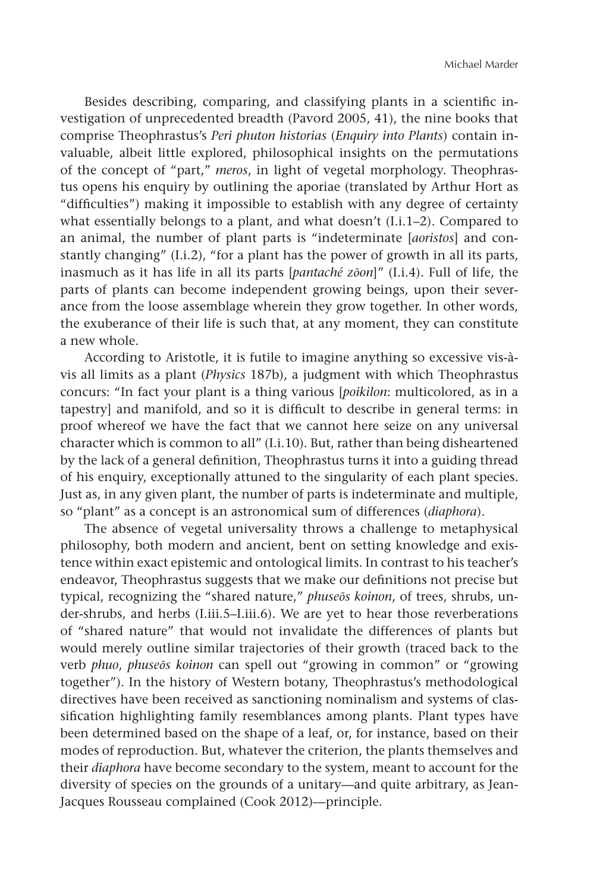Besides describing, comparing, and classifying plants in a scientific investigation of unprecedented breadth (Pavord 2005, 41), the nine books that comprise Theophrastus's *Peri phuton historias* (*Enquiry into Plants*) contain invaluable, albeit little explored, philosophical insights on the permutations of the concept of "part," *meros*, in light of vegetal morphology. Theophrastus opens his enquiry by outlining the aporiae (translated by Arthur Hort as "difficulties") making it impossible to establish with any degree of certainty what essentially belongs to a plant, and what doesn't (I.i.1-2). Compared to an animal, the number of plant parts is "indeterminate [*aoristos*] and constantly changing" (I.i.2), "for a plant has the power of growth in all its parts, inasmuch as it has life in all its parts [*pantaché zōon*]" (I.i.4). Full of life, the parts of plants can become independent growing beings, upon their severance from the loose assemblage wherein they grow together. In other words, the exuberance of their life is such that, at any moment, they can constitute a new whole.

According to Aristotle, it is futile to imagine anything so excessive vis-àvis all limits as a plant (*Physics* 187b), a judgment with which Theophrastus concurs: "In fact your plant is a thing various [*poikilon*: multicolored, as in a tapestry] and manifold, and so it is difficult to describe in general terms: in proof whereof we have the fact that we cannot here seize on any universal character which is common to all" (I.i.10). But, rather than being disheartened by the lack of a general definition, Theophrastus turns it into a guiding thread of his enquiry, exceptionally attuned to the singularity of each plant species. Just as, in any given plant, the number of parts is indeterminate and multiple, so "plant" as a concept is an astronomical sum of differences (*diaphora*).

The absence of vegetal universality throws a challenge to metaphysical philosophy, both modern and ancient, bent on setting knowledge and existence within exact epistemic and ontological limits. In contrast to his teacher's endeavor, Theophrastus suggests that we make our definitions not precise but typical, recognizing the "shared nature," *phuseōs koinon*, of trees, shrubs, under-shrubs, and herbs (I.iii.5–I.iii.6). We are yet to hear those reverberations of "shared nature" that would not invalidate the differences of plants but would merely outline similar trajectories of their growth (traced back to the verb *phuo*, *phuseōs koinon* can spell out "growing in common" or "growing together"). In the history of Western botany, Theophrastus's methodological directives have been received as sanctioning nominalism and systems of classification highlighting family resemblances among plants. Plant types have been determined based on the shape of a leaf, or, for instance, based on their modes of reproduction. But, whatever the criterion, the plants themselves and their *diaphora* have become secondary to the system, meant to account for the diversity of species on the grounds of a unitary—and quite arbitrary, as Jean-Jacques Rousseau complained (Cook 2012)—principle.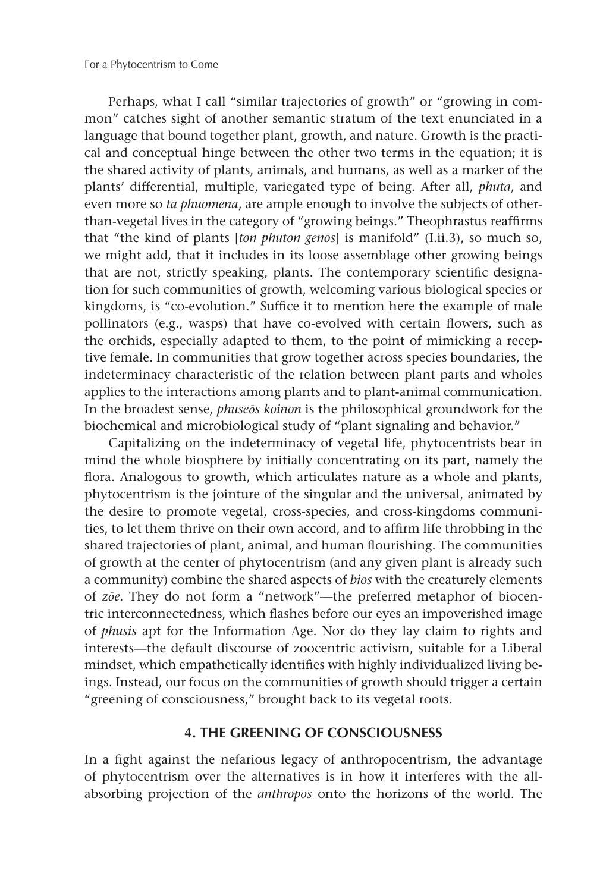Perhaps, what I call "similar trajectories of growth" or "growing in common" catches sight of another semantic stratum of the text enunciated in a language that bound together plant, growth, and nature. Growth is the practical and conceptual hinge between the other two terms in the equation; it is the shared activity of plants, animals, and humans, as well as a marker of the plants' differential, multiple, variegated type of being. After all, *phuta*, and even more so *ta phuomena*, are ample enough to involve the subjects of otherthan-vegetal lives in the category of "growing beings." Theophrastus reaffirms that "the kind of plants [*ton phuton genos*] is manifold" (I.ii.3), so much so, we might add, that it includes in its loose assemblage other growing beings that are not, strictly speaking, plants. The contemporary scientific designation for such communities of growth, welcoming various biological species or kingdoms, is "co-evolution." Suffice it to mention here the example of male pollinators (e.g., wasps) that have co-evolved with certain flowers, such as the orchids, especially adapted to them, to the point of mimicking a receptive female. In communities that grow together across species boundaries, the indeterminacy characteristic of the relation between plant parts and wholes applies to the interactions among plants and to plant-animal communication. In the broadest sense, *phuseōs koinon* is the philosophical groundwork for the biochemical and microbiological study of "plant signaling and behavior."

Capitalizing on the indeterminacy of vegetal life, phytocentrists bear in mind the whole biosphere by initially concentrating on its part, namely the flora. Analogous to growth, which articulates nature as a whole and plants, phytocentrism is the jointure of the singular and the universal, animated by the desire to promote vegetal, cross-species, and cross-kingdoms communities, to let them thrive on their own accord, and to affirm life throbbing in the shared trajectories of plant, animal, and human flourishing. The communities of growth at the center of phytocentrism (and any given plant is already such a community) combine the shared aspects of *bios* with the creaturely elements of *zōe*. They do not form a "network"—the preferred metaphor of biocentric interconnectedness, which flashes before our eyes an impoverished image of *phusis* apt for the Information Age. Nor do they lay claim to rights and interests—the default discourse of zoocentric activism, suitable for a Liberal mindset, which empathetically identifies with highly individualized living beings. Instead, our focus on the communities of growth should trigger a certain "greening of consciousness," brought back to its vegetal roots.

#### **4. THE GREENING OF CONSCIOUSNESS**

In a fight against the nefarious legacy of anthropocentrism, the advantage of phytocentrism over the alternatives is in how it interferes with the allabsorbing projection of the *anthropos* onto the horizons of the world. The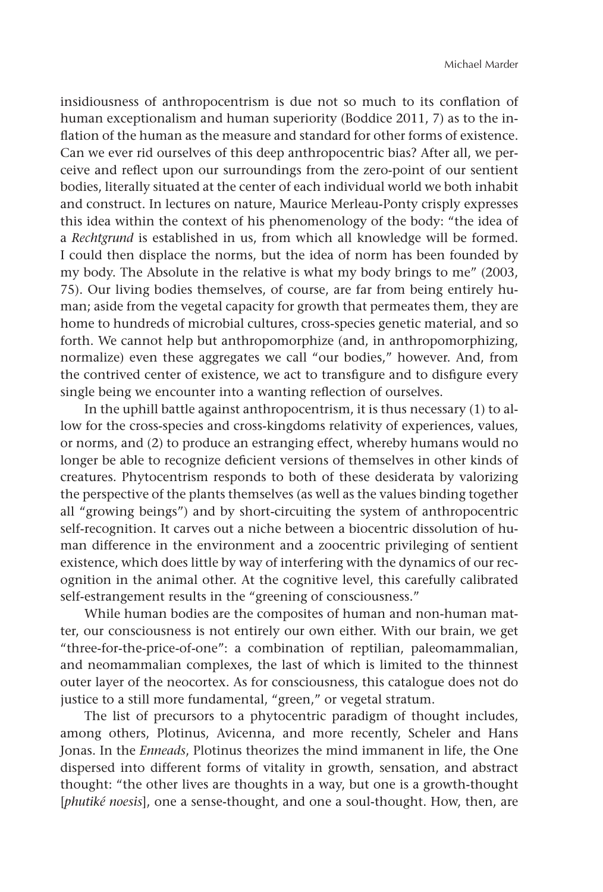insidiousness of anthropocentrism is due not so much to its conflation of human exceptionalism and human superiority (Boddice 2011, 7) as to the inflation of the human as the measure and standard for other forms of existence. Can we ever rid ourselves of this deep anthropocentric bias? After all, we perceive and reflect upon our surroundings from the zero-point of our sentient bodies, literally situated at the center of each individual world we both inhabit and construct. In lectures on nature, Maurice Merleau-Ponty crisply expresses this idea within the context of his phenomenology of the body: "the idea of a *Rechtgrund* is established in us, from which all knowledge will be formed. I could then displace the norms, but the idea of norm has been founded by my body. The Absolute in the relative is what my body brings to me" (2003, 75). Our living bodies themselves, of course, are far from being entirely human; aside from the vegetal capacity for growth that permeates them, they are home to hundreds of microbial cultures, cross-species genetic material, and so forth. We cannot help but anthropomorphize (and, in anthropomorphizing, normalize) even these aggregates we call "our bodies," however. And, from the contrived center of existence, we act to transfigure and to disfigure every single being we encounter into a wanting reflection of ourselves.

In the uphill battle against anthropocentrism, it is thus necessary (1) to allow for the cross-species and cross-kingdoms relativity of experiences, values, or norms, and (2) to produce an estranging effect, whereby humans would no longer be able to recognize deficient versions of themselves in other kinds of creatures. Phytocentrism responds to both of these desiderata by valorizing the perspective of the plants themselves (as well as the values binding together all "growing beings") and by short-circuiting the system of anthropocentric self-recognition. It carves out a niche between a biocentric dissolution of human difference in the environment and a zoocentric privileging of sentient existence, which does little by way of interfering with the dynamics of our recognition in the animal other. At the cognitive level, this carefully calibrated self-estrangement results in the "greening of consciousness."

While human bodies are the composites of human and non-human matter, our consciousness is not entirely our own either. With our brain, we get "three-for-the-price-of-one": a combination of reptilian, paleomammalian, and neomammalian complexes, the last of which is limited to the thinnest outer layer of the neocortex. As for consciousness, this catalogue does not do justice to a still more fundamental, "green," or vegetal stratum.

The list of precursors to a phytocentric paradigm of thought includes, among others, Plotinus, Avicenna, and more recently, Scheler and Hans Jonas. In the *Enneads*, Plotinus theorizes the mind immanent in life, the One dispersed into different forms of vitality in growth, sensation, and abstract thought: "the other lives are thoughts in a way, but one is a growth-thought [*phutiké noesis*], one a sense-thought, and one a soul-thought. How, then, are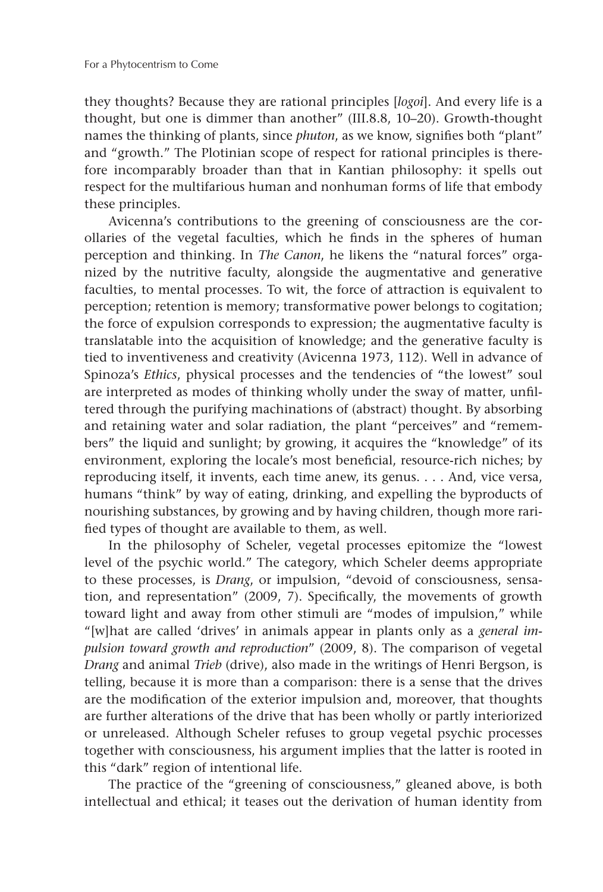they thoughts? Because they are rational principles [*logoi*]. And every life is a thought, but one is dimmer than another" (III.8.8, 10–20). Growth-thought names the thinking of plants, since *phuton*, as we know, signifies both "plant" and "growth." The Plotinian scope of respect for rational principles is therefore incomparably broader than that in Kantian philosophy: it spells out respect for the multifarious human and nonhuman forms of life that embody these principles.

Avicenna's contributions to the greening of consciousness are the corollaries of the vegetal faculties, which he finds in the spheres of human perception and thinking. In *The Canon*, he likens the "natural forces" organized by the nutritive faculty, alongside the augmentative and generative faculties, to mental processes. To wit, the force of attraction is equivalent to perception; retention is memory; transformative power belongs to cogitation; the force of expulsion corresponds to expression; the augmentative faculty is translatable into the acquisition of knowledge; and the generative faculty is tied to inventiveness and creativity (Avicenna 1973, 112). Well in advance of Spinoza's *Ethics*, physical processes and the tendencies of "the lowest" soul are interpreted as modes of thinking wholly under the sway of matter, unfiltered through the purifying machinations of (abstract) thought. By absorbing and retaining water and solar radiation, the plant "perceives" and "remembers" the liquid and sunlight; by growing, it acquires the "knowledge" of its environment, exploring the locale's most beneficial, resource-rich niches; by reproducing itself, it invents, each time anew, its genus. . . . And, vice versa, humans "think" by way of eating, drinking, and expelling the byproducts of nourishing substances, by growing and by having children, though more rarified types of thought are available to them, as well.

In the philosophy of Scheler, vegetal processes epitomize the "lowest level of the psychic world." The category, which Scheler deems appropriate to these processes, is *Drang*, or impulsion, "devoid of consciousness, sensation, and representation" (2009, 7). Specifically, the movements of growth toward light and away from other stimuli are "modes of impulsion," while "[w]hat are called 'drives' in animals appear in plants only as a *general impulsion toward growth and reproduction*" (2009, 8). The comparison of vegetal *Drang* and animal *Trieb* (drive), also made in the writings of Henri Bergson, is telling, because it is more than a comparison: there is a sense that the drives are the modification of the exterior impulsion and, moreover, that thoughts are further alterations of the drive that has been wholly or partly interiorized or unreleased. Although Scheler refuses to group vegetal psychic processes together with consciousness, his argument implies that the latter is rooted in this "dark" region of intentional life.

The practice of the "greening of consciousness," gleaned above, is both intellectual and ethical; it teases out the derivation of human identity from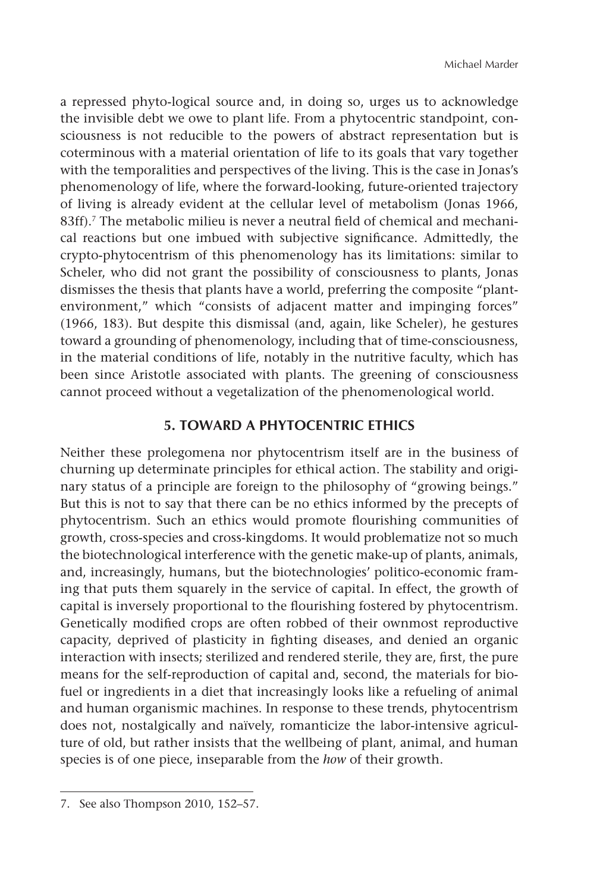a repressed phyto-logical source and, in doing so, urges us to acknowledge the invisible debt we owe to plant life. From a phytocentric standpoint, consciousness is not reducible to the powers of abstract representation but is coterminous with a material orientation of life to its goals that vary together with the temporalities and perspectives of the living. This is the case in Jonas's phenomenology of life, where the forward-looking, future-oriented trajectory of living is already evident at the cellular level of metabolism (Jonas 1966, 83ff).<sup>7</sup> The metabolic milieu is never a neutral field of chemical and mechanical reactions but one imbued with subjective significance. Admittedly, the crypto-phytocentrism of this phenomenology has its limitations: similar to Scheler, who did not grant the possibility of consciousness to plants, Jonas dismisses the thesis that plants have a world, preferring the composite "plantenvironment," which "consists of adjacent matter and impinging forces" (1966, 183). But despite this dismissal (and, again, like Scheler), he gestures toward a grounding of phenomenology, including that of time-consciousness, in the material conditions of life, notably in the nutritive faculty, which has been since Aristotle associated with plants. The greening of consciousness cannot proceed without a vegetalization of the phenomenological world.

## **5. TOWARD A PHYTOCENTRIC ETHICS**

Neither these prolegomena nor phytocentrism itself are in the business of churning up determinate principles for ethical action. The stability and originary status of a principle are foreign to the philosophy of "growing beings." But this is not to say that there can be no ethics informed by the precepts of phytocentrism. Such an ethics would promote flourishing communities of growth, cross-species and cross-kingdoms. It would problematize not so much the biotechnological interference with the genetic make-up of plants, animals, and, increasingly, humans, but the biotechnologies' politico-economic framing that puts them squarely in the service of capital. In effect, the growth of capital is inversely proportional to the flourishing fostered by phytocentrism. Genetically modified crops are often robbed of their ownmost reproductive capacity, deprived of plasticity in fighting diseases, and denied an organic interaction with insects; sterilized and rendered sterile, they are, first, the pure means for the self-reproduction of capital and, second, the materials for biofuel or ingredients in a diet that increasingly looks like a refueling of animal and human organismic machines. In response to these trends, phytocentrism does not, nostalgically and naïvely, romanticize the labor-intensive agriculture of old, but rather insists that the wellbeing of plant, animal, and human species is of one piece, inseparable from the *how* of their growth.

<sup>7.</sup> See also Thompson 2010, 152–57.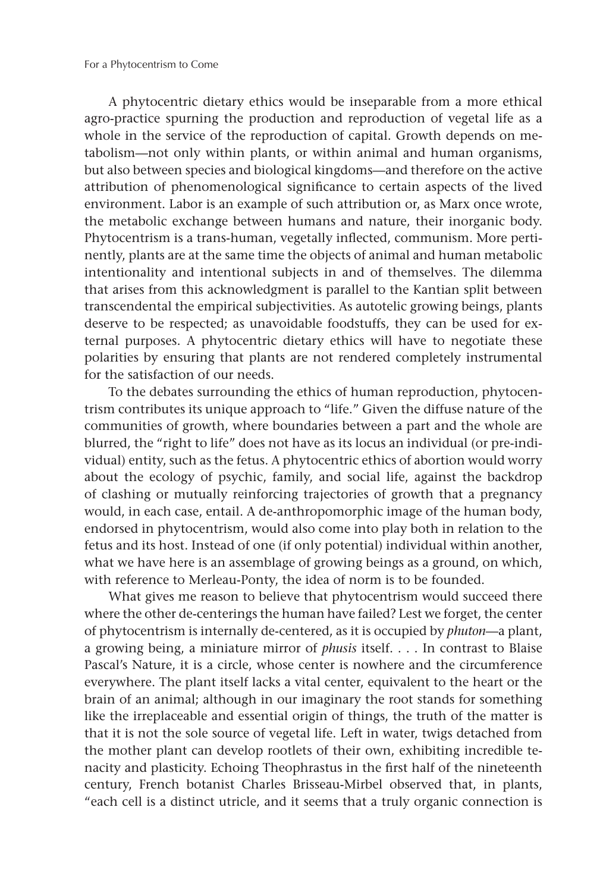A phytocentric dietary ethics would be inseparable from a more ethical agro-practice spurning the production and reproduction of vegetal life as a whole in the service of the reproduction of capital. Growth depends on metabolism—not only within plants, or within animal and human organisms, but also between species and biological kingdoms—and therefore on the active attribution of phenomenological significance to certain aspects of the lived environment. Labor is an example of such attribution or, as Marx once wrote, the metabolic exchange between humans and nature, their inorganic body. Phytocentrism is a trans-human, vegetally inflected, communism. More pertinently, plants are at the same time the objects of animal and human metabolic intentionality and intentional subjects in and of themselves. The dilemma that arises from this acknowledgment is parallel to the Kantian split between transcendental the empirical subjectivities. As autotelic growing beings, plants deserve to be respected; as unavoidable foodstuffs, they can be used for external purposes. A phytocentric dietary ethics will have to negotiate these polarities by ensuring that plants are not rendered completely instrumental for the satisfaction of our needs.

To the debates surrounding the ethics of human reproduction, phytocentrism contributes its unique approach to "life." Given the diffuse nature of the communities of growth, where boundaries between a part and the whole are blurred, the "right to life" does not have as its locus an individual (or pre-individual) entity, such as the fetus. A phytocentric ethics of abortion would worry about the ecology of psychic, family, and social life, against the backdrop of clashing or mutually reinforcing trajectories of growth that a pregnancy would, in each case, entail. A de-anthropomorphic image of the human body, endorsed in phytocentrism, would also come into play both in relation to the fetus and its host. Instead of one (if only potential) individual within another, what we have here is an assemblage of growing beings as a ground, on which, with reference to Merleau-Ponty, the idea of norm is to be founded.

What gives me reason to believe that phytocentrism would succeed there where the other de-centerings the human have failed? Lest we forget, the center of phytocentrism is internally de-centered, as it is occupied by *phuton*—a plant, a growing being, a miniature mirror of *phusis* itself. . . . In contrast to Blaise Pascal's Nature, it is a circle, whose center is nowhere and the circumference everywhere. The plant itself lacks a vital center, equivalent to the heart or the brain of an animal; although in our imaginary the root stands for something like the irreplaceable and essential origin of things, the truth of the matter is that it is not the sole source of vegetal life. Left in water, twigs detached from the mother plant can develop rootlets of their own, exhibiting incredible tenacity and plasticity. Echoing Theophrastus in the first half of the nineteenth century, French botanist Charles Brisseau-Mirbel observed that, in plants, "each cell is a distinct utricle, and it seems that a truly organic connection is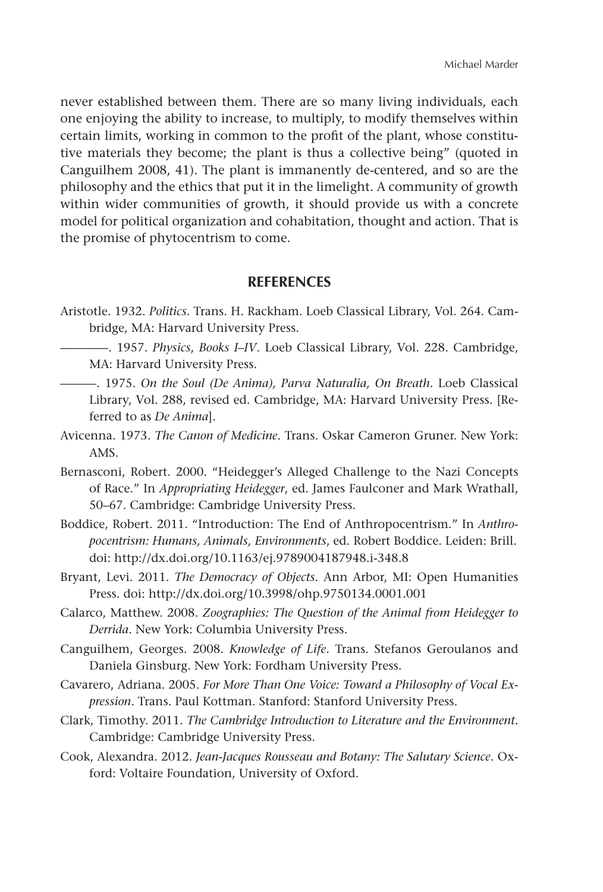never established between them. There are so many living individuals, each one enjoying the ability to increase, to multiply, to modify themselves within certain limits, working in common to the profit of the plant, whose constitutive materials they become; the plant is thus a collective being" (quoted in Canguilhem 2008, 41). The plant is immanently de-centered, and so are the philosophy and the ethics that put it in the limelight. A community of growth within wider communities of growth, it should provide us with a concrete model for political organization and cohabitation, thought and action. That is the promise of phytocentrism to come.

#### **REFERENCES**

- Aristotle. 1932. *Politics*. Trans. H. Rackham. Loeb Classical Library, Vol. 264. Cambridge, MA: Harvard University Press.
	- ————. 1957. *Physics*, *Books I–IV*. Loeb Classical Library, Vol. 228. Cambridge, MA: Harvard University Press.
	- ———. 1975. *On the Soul (De Anima), Parva Naturalia, On Breath.* Loeb Classical Library, Vol. 288, revised ed. Cambridge, MA: Harvard University Press. [Referred to as *De Anima*].
- Avicenna. 1973. *The Canon of Medicine.* Trans. Oskar Cameron Gruner. New York: AMS.
- Bernasconi, Robert. 2000. "Heidegger's Alleged Challenge to the Nazi Concepts of Race." In *Appropriating Heidegger*, ed. James Faulconer and Mark Wrathall, 50–67. Cambridge: Cambridge University Press.
- Boddice, Robert. 2011. "Introduction: The End of Anthropocentrism." In *Anthropocentrism: Humans, Animals, Environments*, ed. Robert Boddice. Leiden: Brill. doi: http://dx.doi.org/10.1163/ej.9789004187948.i-348.8
- Bryant, Levi. 2011. *The Democracy of Objects*. Ann Arbor, MI: Open Humanities Press. doi: http://dx.doi.org/10.3998/ohp.9750134.0001.001
- Calarco, Matthew. 2008. *Zoographies: The Question of the Animal from Heidegger to Derrida*. New York: Columbia University Press.
- Canguilhem, Georges. 2008. *Knowledge of Life*. Trans. Stefanos Geroulanos and Daniela Ginsburg. New York: Fordham University Press.
- Cavarero, Adriana. 2005. *For More Than One Voice: Toward a Philosophy of Vocal Expression*. Trans. Paul Kottman. Stanford: Stanford University Press.
- Clark, Timothy. 2011. *The Cambridge Introduction to Literature and the Environment*. Cambridge: Cambridge University Press.
- Cook, Alexandra. 2012. *Jean-Jacques Rousseau and Botany: The Salutary Science*. Oxford: Voltaire Foundation, University of Oxford.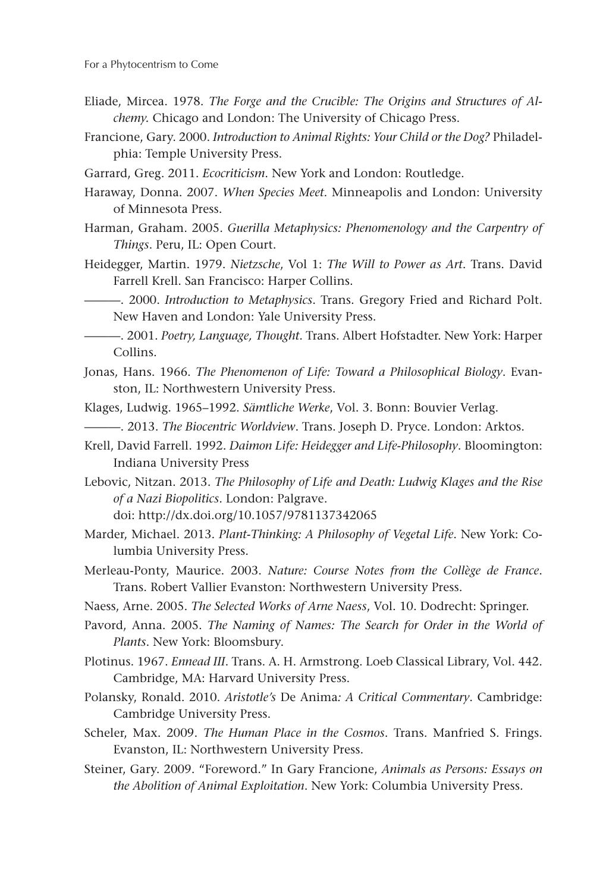- Eliade, Mircea. 1978. *The Forge and the Crucible: The Origins and Structures of Alchemy.* Chicago and London: The University of Chicago Press.
- Francione, Gary. 2000. *Introduction to Animal Rights: Your Child or the Dog?* Philadelphia: Temple University Press.
- Garrard, Greg. 2011. *Ecocriticism*. New York and London: Routledge.
- Haraway, Donna. 2007. *When Species Meet*. Minneapolis and London: University of Minnesota Press.
- Harman, Graham. 2005. *Guerilla Metaphysics: Phenomenology and the Carpentry of Things*. Peru, IL: Open Court.
- Heidegger, Martin. 1979. *Nietzsche*, Vol 1: *The Will to Power as Art*. Trans. David Farrell Krell. San Francisco: Harper Collins.
- ———. 2000. *Introduction to Metaphysics*. Trans. Gregory Fried and Richard Polt. New Haven and London: Yale University Press.
	- ———. 2001. *Poetry, Language, Thought*. Trans. Albert Hofstadter. New York: Harper Collins.
- Jonas, Hans. 1966. *The Phenomenon of Life: Toward a Philosophical Biology*. Evanston, IL: Northwestern University Press.
- Klages, Ludwig. 1965–1992. *Sämtliche Werke*, Vol. 3. Bonn: Bouvier Verlag.
- ———. 2013. *The Biocentric Worldview*. Trans. Joseph D. Pryce. London: Arktos.
- Krell, David Farrell. 1992. *Daimon Life: Heidegger and Life-Philosophy*. Bloomington: Indiana University Press
- Lebovic, Nitzan. 2013. *The Philosophy of Life and Death: Ludwig Klages and the Rise of a Nazi Biopolitics*. London: Palgrave.

doi: http://dx.doi.org/10.1057/9781137342065

- Marder, Michael. 2013. *Plant-Thinking: A Philosophy of Vegetal Life*. New York: Columbia University Press.
- Merleau-Ponty, Maurice. 2003. *Nature: Course Notes from the Collège de France*. Trans. Robert Vallier Evanston: Northwestern University Press.
- Naess, Arne. 2005. *The Selected Works of Arne Naess*, Vol. 10. Dodrecht: Springer.
- Pavord, Anna. 2005. *The Naming of Names: The Search for Order in the World of Plants*. New York: Bloomsbury.
- Plotinus. 1967. *Ennead III*. Trans. A. H. Armstrong. Loeb Classical Library, Vol. 442. Cambridge, MA: Harvard University Press.
- Polansky, Ronald. 2010. *Aristotle's* De Anima*: A Critical Commentary*. Cambridge: Cambridge University Press.
- Scheler, Max. 2009. *The Human Place in the Cosmos*. Trans. Manfried S. Frings. Evanston, IL: Northwestern University Press.
- Steiner, Gary. 2009. "Foreword." In Gary Francione, *Animals as Persons: Essays on the Abolition of Animal Exploitation*. New York: Columbia University Press.